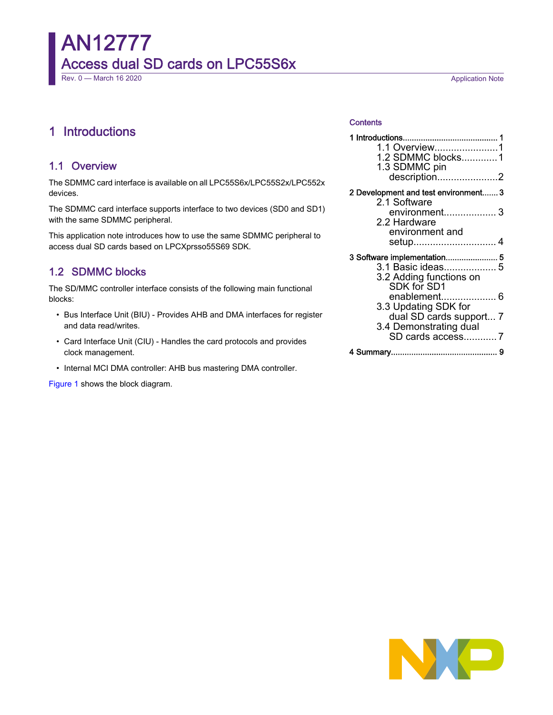# AN12777 Access dual SD cards on LPC55S6x Rev. 0 — March 16 2020 **Application Note**

# 1 Introductions

## 1.1 Overview

The SDMMC card interface is available on all LPC55S6x/LPC55S2x/LPC552x devices.

The SDMMC card interface supports interface to two devices (SD0 and SD1) with the same SDMMC peripheral.

This application note introduces how to use the same SDMMC peripheral to access dual SD cards based on LPCXprsso55S69 SDK.

## 1.2 SDMMC blocks

The SD/MMC controller interface consists of the following main functional blocks:

- Bus Interface Unit (BIU) Provides AHB and DMA interfaces for register and data read/writes.
- Card Interface Unit (CIU) Handles the card protocols and provides clock management.
- Internal MCI DMA controller: AHB bus mastering DMA controller.

[Figure 1](#page-1-0) shows the block diagram.

#### **Contents**

| 1.1 Overview1<br>1.2 SDMMC blocks1<br>1.3 SDMMC pin<br>description2                                                                                                                     |  |  |  |  |
|-----------------------------------------------------------------------------------------------------------------------------------------------------------------------------------------|--|--|--|--|
| 2 Development and test environment 3<br>2.1 Software<br>environment 3<br>2.2 Hardware<br>environment and<br>setup 4                                                                     |  |  |  |  |
| 3 Software implementation 5<br>3.1 Basic ideas 5<br>3.2 Adding functions on<br>SDK for SD1<br>enablement 6<br>3.3 Updating SDK for<br>dual SD cards support 7<br>3.4 Demonstrating dual |  |  |  |  |
| SD cards access7                                                                                                                                                                        |  |  |  |  |
|                                                                                                                                                                                         |  |  |  |  |

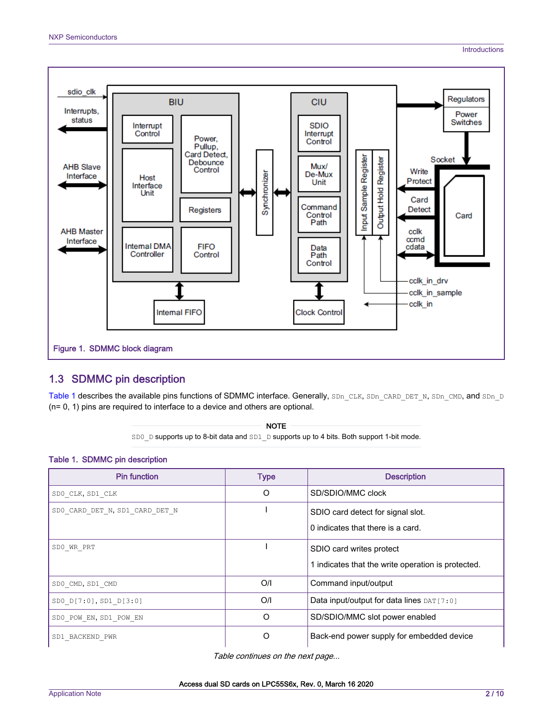<span id="page-1-0"></span>

## 1.3 SDMMC pin description

Table 1 describes the available pins functions of SDMMC interface. Generally, SDn\_CLK, SDn\_CARD\_DET\_N, SDn\_CMD, and SDn\_D (n= 0, 1) pins are required to interface to a device and others are optional.

> SD0 D supports up to 8-bit data and SD1 D supports up to 4 bits. Both support 1-bit mode. NOTE

# Table 1. SDMMC pin description

| <b>Pin function</b>            | <b>Type</b> | <b>Description</b>                                                             |
|--------------------------------|-------------|--------------------------------------------------------------------------------|
| SDO CLK, SD1 CLK               | O           | SD/SDIO/MMC clock                                                              |
| SDO CARD DET N, SD1 CARD DET N |             | SDIO card detect for signal slot.<br>0 indicates that there is a card.         |
| SDO WR PRT                     |             | SDIO card writes protect<br>1 indicates that the write operation is protected. |
| SD0 CMD, SD1 CMD               | O/I         | Command input/output                                                           |
| SD0 D[7:0], SD1 D[3:0]         | O/I         | Data input/output for data lines DAT [7:0]                                     |
| SDO POW EN, SD1 POW EN         | O           | SD/SDIO/MMC slot power enabled                                                 |
| SD1 BACKEND PWR                | O           | Back-end power supply for embedded device                                      |

Table continues on the next page...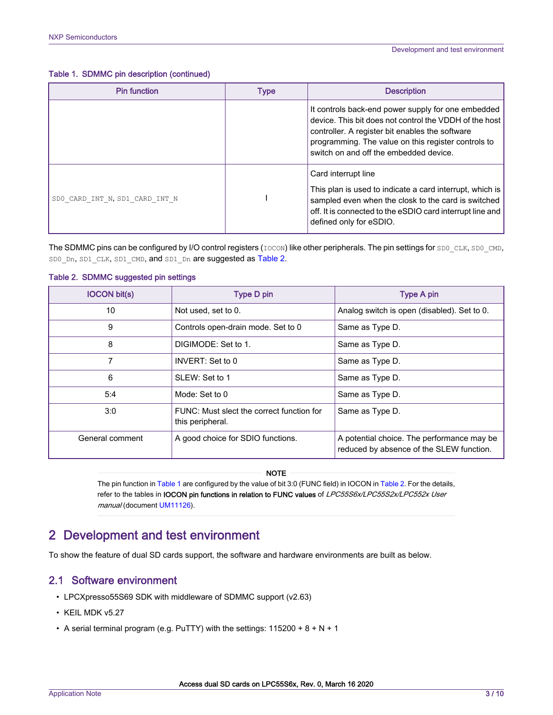<span id="page-2-0"></span>Table 1. SDMMC pin description (continued)

| <b>Pin function</b>            | Type | <b>Description</b>                                                                                                                                                                                                                                               |  |
|--------------------------------|------|------------------------------------------------------------------------------------------------------------------------------------------------------------------------------------------------------------------------------------------------------------------|--|
|                                |      | It controls back-end power supply for one embedded<br>device. This bit does not control the VDDH of the host<br>controller. A register bit enables the software<br>programming. The value on this register controls to<br>switch on and off the embedded device. |  |
| SDO CARD INT N, SD1 CARD INT N |      | Card interrupt line<br>This plan is used to indicate a card interrupt, which is<br>sampled even when the closk to the card is switched<br>off. It is connected to the eSDIO card interrupt line and<br>defined only for eSDIO.                                   |  |

The SDMMC pins can be configured by I/O control registers (IOCON) like other peripherals. The pin settings for SD0 CLK, SD0 CMD, SD0 Dn, SD1 CLK, SD1 CMD, and SD1 Dn are suggested as Table 2.

| <b>IOCON bit(s)</b> | <b>Type D pin</b>                                             | <b>Type A pin</b>                                                                      |
|---------------------|---------------------------------------------------------------|----------------------------------------------------------------------------------------|
| 10                  | Not used, set to 0.                                           | Analog switch is open (disabled). Set to 0.                                            |
| 9                   | Controls open-drain mode. Set to 0                            | Same as Type D.                                                                        |
| 8                   | DIGIMODE: Set to 1.                                           | Same as Type D.                                                                        |
| 7                   | INVERT: Set to 0                                              | Same as Type D.                                                                        |
| 6                   | SLEW: Set to 1                                                | Same as Type D.                                                                        |
| 5:4                 | Mode: Set to 0                                                | Same as Type D.                                                                        |
| 3:0                 | FUNC: Must slect the correct function for<br>this peripheral. | Same as Type D.                                                                        |
| General comment     | A good choice for SDIO functions.                             | A potential choice. The performance may be<br>reduced by absence of the SLEW function. |

#### Table 2. SDMMC suggested pin settings

**NOTE** 

The pin function in [Table 1](#page-1-0) are configured by the value of bit 3:0 (FUNC field) in IOCON in Table 2. For the details, refer to the tables in IOCON pin functions in relation to FUNC values of LPC55S6x/LPC55S2x/LPC552x User manual (document [UM11126](https://www.nxp.com/webapp/sps/download/preDownload.jsp?render=true)).

# 2 Development and test environment

To show the feature of dual SD cards support, the software and hardware environments are built as below.

## 2.1 Software environment

- LPCXpresso55S69 SDK with middleware of SDMMC support (v2.63)
- KEIL MDK v5.27
- A serial terminal program (e.g. PuTTY) with the settings:  $115200 + 8 + N + 1$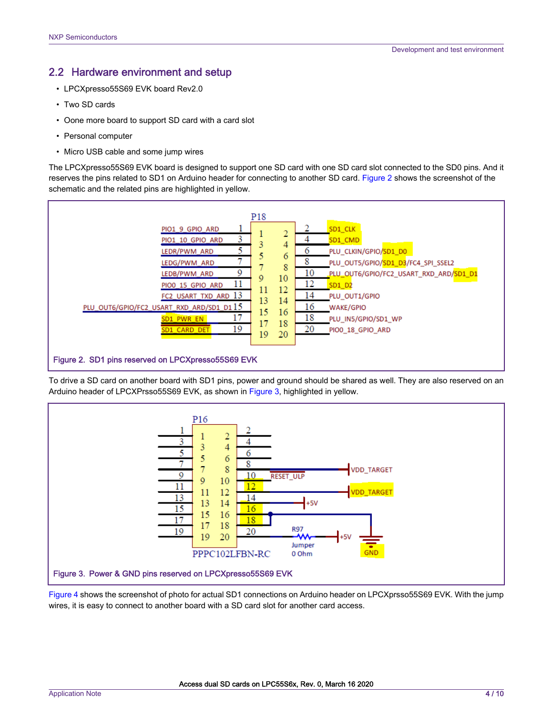## <span id="page-3-0"></span>2.2 Hardware environment and setup

- LPCXpresso55S69 EVK board Rev2.0
- Two SD cards
- Oone more board to support SD card with a card slot
- Personal computer
- Micro USB cable and some jump wires

The LPCXpresso55S69 EVK board is designed to support one SD card with one SD card slot connected to the SD0 pins. And it reserves the pins related to SD1 on Arduino header for connecting to another SD card. Figure 2 shows the screenshot of the schematic and the related pins are highlighted in yellow.



To drive a SD card on another board with SD1 pins, power and ground should be shared as well. They are also reserved on an Arduino header of LPCXPrsso55S69 EVK, as shown in Figure 3, highlighted in yellow.



[Figure 4](#page-4-0) shows the screenshot of photo for actual SD1 connections on Arduino header on LPCXprsso55S69 EVK. With the jump wires, it is easy to connect to another board with a SD card slot for another card access.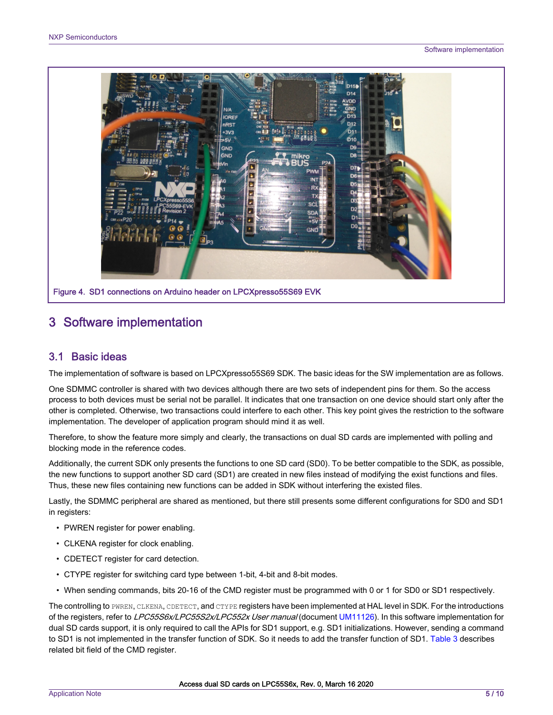<span id="page-4-0"></span>

# 3 Software implementation

## 3.1 Basic ideas

The implementation of software is based on LPCXpresso55S69 SDK. The basic ideas for the SW implementation are as follows.

One SDMMC controller is shared with two devices although there are two sets of independent pins for them. So the access process to both devices must be serial not be parallel. It indicates that one transaction on one device should start only after the other is completed. Otherwise, two transactions could interfere to each other. This key point gives the restriction to the software implementation. The developer of application program should mind it as well.

Therefore, to show the feature more simply and clearly, the transactions on dual SD cards are implemented with polling and blocking mode in the reference codes.

Additionally, the current SDK only presents the functions to one SD card (SD0). To be better compatible to the SDK, as possible, the new functions to support another SD card (SD1) are created in new files instead of modifying the exist functions and files. Thus, these new files containing new functions can be added in SDK without interfering the existed files.

Lastly, the SDMMC peripheral are shared as mentioned, but there still presents some different configurations for SD0 and SD1 in registers:

- PWREN register for power enabling.
- CLKENA register for clock enabling.
- CDETECT register for card detection.
- CTYPE register for switching card type between 1-bit, 4-bit and 8-bit modes.
- When sending commands, bits 20-16 of the CMD register must be programmed with 0 or 1 for SD0 or SD1 respectively.

The controlling to PWREN, CLKENA, CDETECT, and CTYPE registers have been implemented at HAL level in SDK. For the introductions of the registers, refer to LPC55S6x/LPC55S2x/LPC552x User manual (document [UM11126\)](https://www.nxp.com/webapp/sps/download/preDownload.jsp?render=true). In this software implementation for dual SD cards support, it is only required to call the APIs for SD1 support, e.g. SD1 initializations. However, sending a command to SD1 is not implemented in the transfer function of SDK. So it needs to add the transfer function of SD1. [Table 3](#page-5-0) describes related bit field of the CMD register.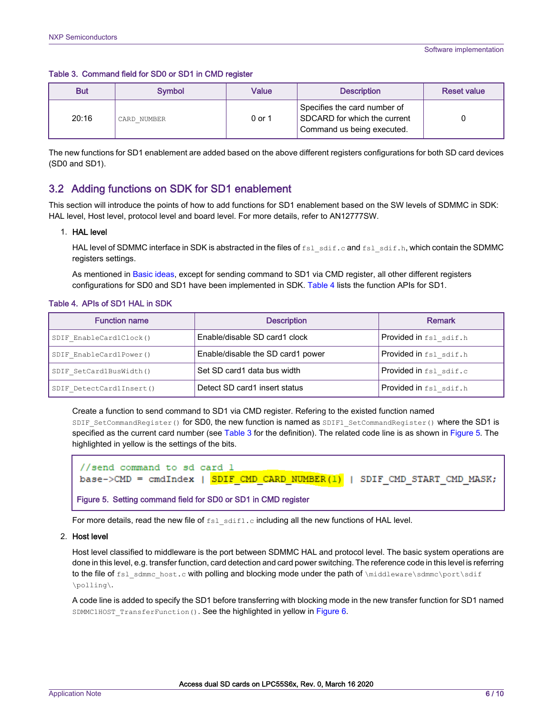<span id="page-5-0"></span>

|  | Table 3. Command field for SD0 or SD1 in CMD register |  |  |  |  |  |
|--|-------------------------------------------------------|--|--|--|--|--|
|--|-------------------------------------------------------|--|--|--|--|--|

| <b>But</b> | <b>Symbol</b> | Value  | <b>Description</b>                                                                         | <b>Reset value</b> |
|------------|---------------|--------|--------------------------------------------------------------------------------------------|--------------------|
| 20:16      | CARD NUMBER   | 0 or 1 | Specifies the card number of<br>SDCARD for which the current<br>Command us being executed. |                    |

The new functions for SD1 enablement are added based on the above different registers configurations for both SD card devices (SD0 and SD1).

## 3.2 Adding functions on SDK for SD1 enablement

This section will introduce the points of how to add functions for SD1 enablement based on the SW levels of SDMMC in SDK: HAL level, Host level, protocol level and board level. For more details, refer to AN12777SW.

#### 1. HAL level

HAL level of SDMMC interface in SDK is abstracted in the files of fsl\_sdif.c and fsl\_sdif.h, which contain the SDMMC registers settings.

As mentioned in [Basic ideas](#page-4-0), except for sending command to SD1 via CMD register, all other different registers configurations for SD0 and SD1 have been implemented in SDK. Table 4 lists the function APIs for SD1.

#### Table 4. APIs of SD1 HAL in SDK

| <b>Function name</b>     | <b>Description</b>                | <b>Remark</b>                 |
|--------------------------|-----------------------------------|-------------------------------|
| SDIF EnableCard1Clock()  | Enable/disable SD card1 clock     | Provided in fsl sdif.h        |
| SDIF EnableCard1Power()  | Enable/disable the SD card1 power | Provided in fsl sdif.h        |
| SDIF SetCard1BusWidth()  | Set SD card1 data bus width       | Provided in fsl sdif.c        |
| SDIF DetectCard1Insert() | Detect SD card1 insert status     | <b>Provided in</b> fsl sdif.h |

Create a function to send command to SD1 via CMD register. Refering to the existed function named SDIF\_SetCommandRegister() for SD0, the new function is named as SDIF1\_SetCommandRegister() where the SD1 is specified as the current card number (see Table 3 for the definition). The related code line is as shown in Figure 5. The highlighted in yellow is the settings of the bits.

```
//send command to sd card 1
base->CMD = cmdIndex | SDIF CMD CARD NUMBER(1) | SDIF CMD START CMD MASK;
Figure 5. Setting command field for SD0 or SD1 in CMD register
```
For more details, read the new file of  $f \text{sl}$  sdif1.c including all the new functions of HAL level.

#### 2. Host level

Host level classified to middleware is the port between SDMMC HAL and protocol level. The basic system operations are done in this level, e.g. transfer function, card detection and card power switching. The reference code in this level is referring to the file of fsl\_sdmmc\_host.c with polling and blocking mode under the path of \middleware\sdmmc\port\sdif \polling\.

A code line is added to specify the SD1 before transferring with blocking mode in the new transfer function for SD1 named SDMMC1HOST TransferFunction(). See the highlighted in yellow in [Figure 6](#page-6-0).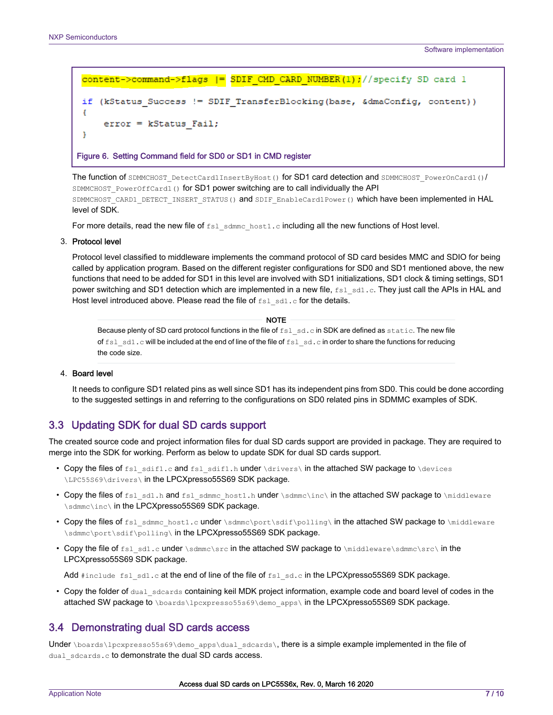```
content->command->flags |= SDIF CMD CARD NUMBER(1);//specify SD card 1
if (kStatus Success != SDIF TransferBlocking(base, &dmaConfig, content))
ł
    error = kStatus Fail;
٦
```
Figure 6. Setting Command field for SD0 or SD1 in CMD register

The function of SDMMCHOST\_DetectCard1InsertByHost() for SD1 card detection and SDMMCHOST\_PowerOnCard1()/ SDMMCHOST\_PowerOffCard1() for SD1 power switching are to call individually the API SDMMCHOST\_CARD1\_DETECT\_INSERT\_STATUS() and SDIF\_EnableCard1Power() which have been implemented in HAL level of SDK.

For more details, read the new file of  $f_{\text{S1}}$  sdmmc\_host1.c including all the new functions of Host level.

3. Protocol level

Protocol level classified to middleware implements the command protocol of SD card besides MMC and SDIO for being called by application program. Based on the different register configurations for SD0 and SD1 mentioned above, the new functions that need to be added for SD1 in this level are involved with SD1 initializations, SD1 clock & timing settings, SD1 power switching and SD1 detection which are implemented in a new file,  $fs1$  sd1.c. They just call the APIs in HAL and Host level introduced above. Please read the file of fsl sd1.c for the details.

Because plenty of SD card protocol functions in the file of  $fsl$  sd.c in SDK are defined as static. The new file of fsl sd1.c will be included at the end of line of the file of fsl sd.c in order to share the functions for reducing the code size. **NOTE** 

#### 4. Board level

It needs to configure SD1 related pins as well since SD1 has its independent pins from SD0. This could be done according to the suggested settings in and referring to the configurations on SD0 related pins in SDMMC examples of SDK.

## 3.3 Updating SDK for dual SD cards support

The created source code and project information files for dual SD cards support are provided in package. They are required to merge into the SDK for working. Perform as below to update SDK for dual SD cards support.

- Copy the files of  $fs1$  sdif1.c and  $fs1$  sdif1.h under  $\drivers\$  in the attached SW package to  $\derrow$ \LPC55S69\drivers\ in the LPCXpresso55S69 SDK package.
- Copy the files of fsl\_sd1.h and fsl\_sdmmc\_host1.h under \sdmmc\inc\ in the attached SW package to \middleware \sdmmc\inc\ in the LPCXpresso55S69 SDK package.
- Copy the files of fsl\_sdmmc\_host1.c under \sdmmc\port\sdif\polling\ in the attached SW package to \middleware \sdmmc\port\sdif\polling\ in the LPCXpresso55S69 SDK package.
- Copy the file of  $fs1$  sd1.c under \sdmmc\src in the attached SW package to \middleware\sdmmc\src\ in the LPCXpresso55S69 SDK package.

Add #include fsl sd1.c at the end of line of the file of fsl sd.c in the LPCXpresso55S69 SDK package.

• Copy the folder of dual sdcards containing keil MDK project information, example code and board level of codes in the attached SW package to \boards\lpcxpresso55s69\demo\_apps\ in the LPCXpresso55S69 SDK package.

## 3.4 Demonstrating dual SD cards access

Under \boards\lpcxpresso55s69\demo\_apps\dual\_sdcards\, there is a simple example implemented in the file of dual sdcards.c to demonstrate the dual SD cards access.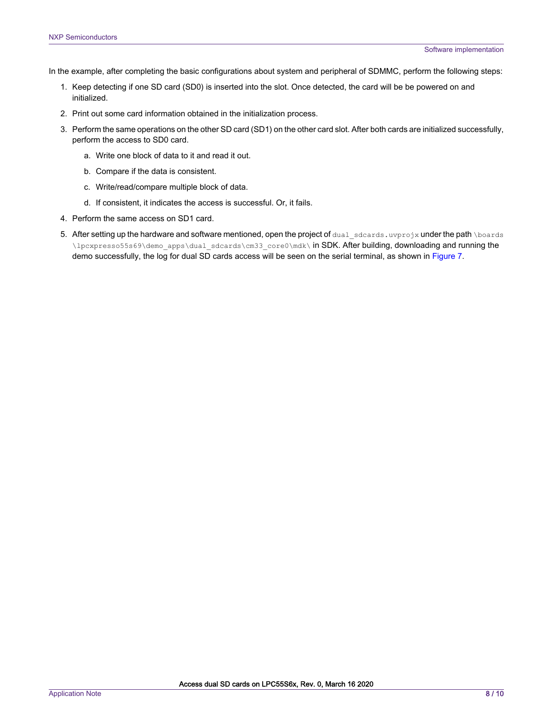In the example, after completing the basic configurations about system and peripheral of SDMMC, perform the following steps:

- 1. Keep detecting if one SD card (SD0) is inserted into the slot. Once detected, the card will be be powered on and initialized.
- 2. Print out some card information obtained in the initialization process.
- 3. Perform the same operations on the other SD card (SD1) on the other card slot. After both cards are initialized successfully, perform the access to SD0 card.
	- a. Write one block of data to it and read it out.
	- b. Compare if the data is consistent.
	- c. Write/read/compare multiple block of data.
	- d. If consistent, it indicates the access is successful. Or, it fails.
- 4. Perform the same access on SD1 card.
- 5. After setting up the hardware and software mentioned, open the project of dual sdcards.uvprojx under the path \boards \lpcxpresso55s69\demo\_apps\dual\_sdcards\cm33\_core0\mdk\ in SDK. After building, downloading and running the demo successfully, the log for dual SD cards access will be seen on the serial terminal, as shown in [Figure 7.](#page-8-0)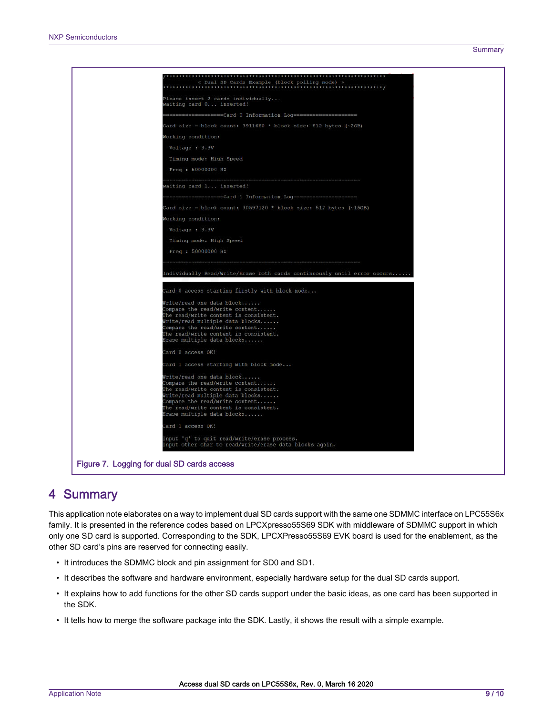<span id="page-8-0"></span>

| < Dual SD Cards Example (block polling mode) >                                                                                                                                                                                                   |  |
|--------------------------------------------------------------------------------------------------------------------------------------------------------------------------------------------------------------------------------------------------|--|
| Please insert 2 cards individually                                                                                                                                                                                                               |  |
| waiting card 0 inserted!                                                                                                                                                                                                                         |  |
| ===================Card 0 Information Log======================                                                                                                                                                                                  |  |
| Card size = block count: 3911680 * block size: 512 bytes (~2GB)                                                                                                                                                                                  |  |
| Working condition:                                                                                                                                                                                                                               |  |
| Voltage : 3.3V                                                                                                                                                                                                                                   |  |
| Timing mode: High Speed                                                                                                                                                                                                                          |  |
| Freq : 50000000 HZ                                                                                                                                                                                                                               |  |
| vaiting card 1 inserted!                                                                                                                                                                                                                         |  |
| ===============Card 1 Information Loq======================                                                                                                                                                                                      |  |
| Card size = block count: 30597120 * block size: 512 bytes (~15GB)                                                                                                                                                                                |  |
| Working condition:                                                                                                                                                                                                                               |  |
| Voltage : 3.3V                                                                                                                                                                                                                                   |  |
| Timing mode: High Speed                                                                                                                                                                                                                          |  |
| Freq : 50000000 HZ                                                                                                                                                                                                                               |  |
|                                                                                                                                                                                                                                                  |  |
| ndividually Read/Write/Erase both cards continuously until error occurs                                                                                                                                                                          |  |
|                                                                                                                                                                                                                                                  |  |
| Card 0 access starting firstly with block mode                                                                                                                                                                                                   |  |
| Write/read one data block<br>Compare the read/write content                                                                                                                                                                                      |  |
| The read/write content is consistent.<br>Write/read multiple data blocks                                                                                                                                                                         |  |
| Compare the read/write content                                                                                                                                                                                                                   |  |
| The read/write content is consistent.<br>Erase multiple data blocks                                                                                                                                                                              |  |
| Card 0 access OK!                                                                                                                                                                                                                                |  |
| Card 1 access starting with block mode                                                                                                                                                                                                           |  |
| Write/read one data block<br>Compare the read/write content<br>The read/write content is consistent.<br>Write/read multiple data blocks<br>Compare the read/write content<br>The read/write content is consistent.<br>Erase multiple data blocks |  |
| Card 1 access OK!                                                                                                                                                                                                                                |  |
| Input 'q' to quit read/write/erase process.<br>nput other char to read/write/erase data blocks again.                                                                                                                                            |  |
| Figure 7. Logging for dual SD cards access                                                                                                                                                                                                       |  |

# 4 Summary

This application note elaborates on a way to implement dual SD cards support with the same one SDMMC interface on LPC55S6x family. It is presented in the reference codes based on LPCXpresso55S69 SDK with middleware of SDMMC support in which only one SD card is supported. Corresponding to the SDK, LPCXPresso55S69 EVK board is used for the enablement, as the other SD card's pins are reserved for connecting easily.

- It introduces the SDMMC block and pin assignment for SD0 and SD1.
- It describes the software and hardware environment, especially hardware setup for the dual SD cards support.
- It explains how to add functions for the other SD cards support under the basic ideas, as one card has been supported in the SDK.
- It tells how to merge the software package into the SDK. Lastly, it shows the result with a simple example.